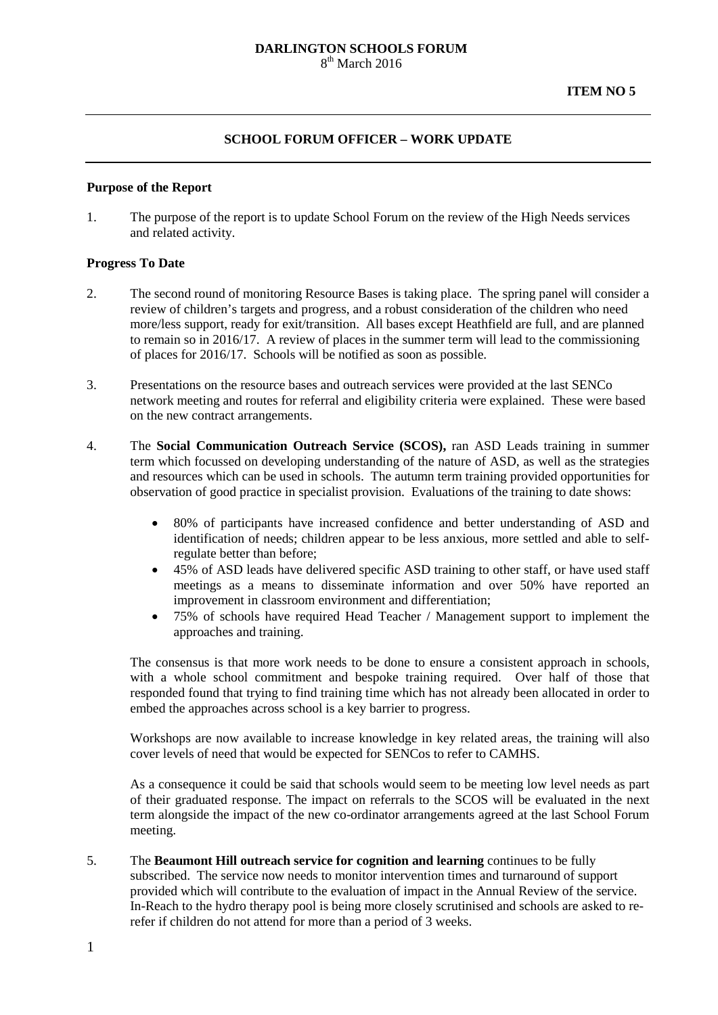#### **DARLINGTON SCHOOLS FORUM**  $8<sup>th</sup>$  March 2016

## **SCHOOL FORUM OFFICER – WORK UPDATE**

#### **Purpose of the Report**

1. The purpose of the report is to update School Forum on the review of the High Needs services and related activity.

### **Progress To Date**

- 2. The second round of monitoring Resource Bases is taking place. The spring panel will consider a review of children's targets and progress, and a robust consideration of the children who need more/less support, ready for exit/transition. All bases except Heathfield are full, and are planned to remain so in 2016/17. A review of places in the summer term will lead to the commissioning of places for 2016/17. Schools will be notified as soon as possible.
- 3. Presentations on the resource bases and outreach services were provided at the last SENCo network meeting and routes for referral and eligibility criteria were explained. These were based on the new contract arrangements.
- 4. The **Social Communication Outreach Service (SCOS),** ran ASD Leads training in summer term which focussed on developing understanding of the nature of ASD, as well as the strategies and resources which can be used in schools. The autumn term training provided opportunities for observation of good practice in specialist provision. Evaluations of the training to date shows:
	- 80% of participants have increased confidence and better understanding of ASD and identification of needs; children appear to be less anxious, more settled and able to selfregulate better than before;
	- 45% of ASD leads have delivered specific ASD training to other staff, or have used staff meetings as a means to disseminate information and over 50% have reported an improvement in classroom environment and differentiation;
	- 75% of schools have required Head Teacher / Management support to implement the approaches and training.

The consensus is that more work needs to be done to ensure a consistent approach in schools, with a whole school commitment and bespoke training required. Over half of those that responded found that trying to find training time which has not already been allocated in order to embed the approaches across school is a key barrier to progress.

Workshops are now available to increase knowledge in key related areas, the training will also cover levels of need that would be expected for SENCos to refer to CAMHS.

As a consequence it could be said that schools would seem to be meeting low level needs as part of their graduated response. The impact on referrals to the SCOS will be evaluated in the next term alongside the impact of the new co-ordinator arrangements agreed at the last School Forum meeting.

5. The **Beaumont Hill outreach service for cognition and learning** continues to be fully subscribed. The service now needs to monitor intervention times and turnaround of support provided which will contribute to the evaluation of impact in the Annual Review of the service. In-Reach to the hydro therapy pool is being more closely scrutinised and schools are asked to rerefer if children do not attend for more than a period of 3 weeks.